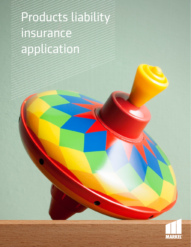# Products liability insurance application

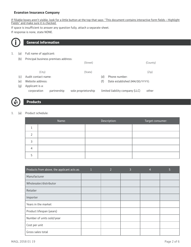#### **Evanston Insurance Company**

If fillable boxes aren't visible, look for a little button at the top that says: "This document contains interactive form fields - Highlight Fields" and make sure it is checked.

If space is insufficient to answer any question fully, attach a separate sheet. If response is none, state NONE.



## **General information**

- 1. (a) Full name of applicant:
	- (b) Principal business premises address:

|     |                                |             | (Street)            |     |                                 | (County) |
|-----|--------------------------------|-------------|---------------------|-----|---------------------------------|----------|
|     | (City)                         |             | (State)             |     |                                 | (Zip)    |
| (c) | Audit contact name:            |             |                     | (d) | Phone number:                   |          |
| (e) | Website address:               |             |                     | (f) | Date established (MM/DD/YYYY):  |          |
| (g) | Applicant is a:<br>corporation | partnership | sole proprietorship |     | limited liability company (LLC) | other    |

### **Products**

#### 1. (a) Product schedule:

| Name: | Description: | Target consumer: |
|-------|--------------|------------------|
|       |              |                  |
|       |              |                  |
|       |              |                  |
|       |              |                  |
|       |              |                  |

| Products from above, the applicant acts as: | 2 | 3 | 4 | Ы |
|---------------------------------------------|---|---|---|---|
| Manufacturer                                |   |   |   |   |
| Wholesaler/distributor                      |   |   |   |   |
| Retailer                                    |   |   |   |   |
| Importer                                    |   |   |   |   |
| Years in the market                         |   |   |   |   |
| Product lifespan (years)                    |   |   |   |   |
| Number of units sold/year                   |   |   |   |   |
| Cost per unit                               |   |   |   |   |
| Gross sales total                           |   |   |   |   |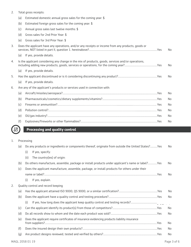#### 2. Total gross receipts:

|    | (a) | Estimated domestic annual gross sales for the coming year: \$                                      |                |
|----|-----|----------------------------------------------------------------------------------------------------|----------------|
|    | (b) | Estimated foreign gross sales for the coming year: \$                                              |                |
|    | (c) | Annual gross sales last twelve months: \$                                                          |                |
|    | (d) | Gross sales for 2nd Prior Year: \$                                                                 |                |
|    | (e) | Gross sales for 3rd Prior Year: \$                                                                 |                |
| 3. |     | Does the applicant have any operations, and/or any receipts or income from any products, goods or  | N <sub>0</sub> |
|    | (a) | If yes, provide details.                                                                           |                |
| 4. |     | Is the applicant considering any change in the mix of products, goods, services and/or operations, | No             |
|    | (a) | If yes, provide details.                                                                           |                |
| 5. |     |                                                                                                    | No             |
|    | (a) | If yes, provide details.                                                                           |                |
| 6. |     | Are any of the applicant's products or services used in connection with:                           |                |
|    | (a) |                                                                                                    | No             |
|    | (b) |                                                                                                    | No             |
|    | (c) |                                                                                                    | No             |
|    | (d) |                                                                                                    | No             |
|    | (e) |                                                                                                    | No             |
|    | (f) |                                                                                                    | No             |
|    |     |                                                                                                    |                |

# **Processing and quality control**

#### 1. Processing

 $\frac{1}{62}$ 

|    | (a) | Do any products or ingredients or components thereof, originate from outside the United States?Yes | No |
|----|-----|----------------------------------------------------------------------------------------------------|----|
|    |     | (i)<br>If yes, specify:                                                                            |    |
|    |     | (ii)<br>The country(ies) of origin:                                                                |    |
|    | (b) | Do others manufacture, assemble, package or install products under applicant's name or label?Yes   | No |
|    | (c) | Does the applicant manufacture, assemble, package, or install products for others under their      |    |
|    |     |                                                                                                    | No |
|    |     | (i)<br>If yes, explain.                                                                            |    |
| 2. |     | Quality control and record keeping                                                                 |    |
|    | (a) |                                                                                                    | No |
|    | (b) |                                                                                                    | No |
|    |     | (i)<br>If yes, how long does the applicant keep quality control and testing records?               |    |
|    | (c) |                                                                                                    | No |
|    | (d) |                                                                                                    | No |
|    | (e) | Does the applicant require certificates of insurance evidencing products liability insurance       | No |
|    | (f) |                                                                                                    | No |
|    | (g) |                                                                                                    | No |
|    |     |                                                                                                    |    |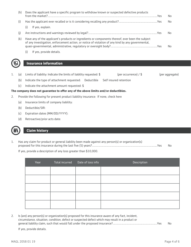| (h) | Does the applicant have a specific program to withdraw known or suspected defective products<br>Yes                                                                                                   | No  |
|-----|-------------------------------------------------------------------------------------------------------------------------------------------------------------------------------------------------------|-----|
| (۱) |                                                                                                                                                                                                       | No. |
|     | If yes, explain.<br>(i)                                                                                                                                                                               |     |
| (i) |                                                                                                                                                                                                       | No  |
| (k) | Have any of the applicant's products or ingredients or components thereof, ever been the subject<br>of any investigation, enforcement action, or notice of violation of any kind by any governmental, | No  |
|     | If yes, provide details.                                                                                                                                                                              |     |

#### **Insurance information**

- 1. (a) Limits of liability: Indicate the limits of liability requested: \$ (per occurrence) / \$ (per aggregate)
	-

- (b) Indicate the type of attachment requested: Deductible Self insured retention
	- (c) Indicate the attachment amount requested: \$

#### **The company does not guarantee to offer any of the above limits and/or deductibles.**

- 2. Provide the following for present product liability insurance: If none, check here
	- (a) Insurance limits of company liability:
	- (b) Deductible/SIR:
	- (c) Expiration dates (MM/DD/YYYY):
	- (d) Retroactive/prior acts date:



#### **Claim history**

1. Has any claim for product or general liability been made against any person(s) or organization(s) proposed for this insurance during the last five (5) years?..........................................................................................Yes [ ] No [ ]

If yes, provide a description of any loss greater than \$10,000.

| Year | Total incurred Date of loss info | Description |
|------|----------------------------------|-------------|
|      |                                  |             |
|      |                                  |             |
|      |                                  |             |
|      |                                  |             |
|      |                                  |             |

2. Is (are) any person(s) or organization(s) proposed for this insurance aware of any fact, incident, circumstance, situation, condition, defect or suspected defect which may result in a product or general liability claim, such that would fall under the proposed insurance?.............................................................Yes [ ] No [ ]

If yes, provide details.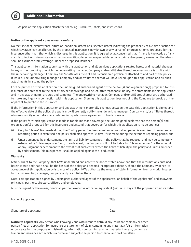

1. As part of this application attach the following: Brochures; labels; and instructions.

#### **Notice to the applicant - please read carefully**

No fact, incident, circumstance, situation, condition, defect or suspected defect indicating the probability of a claim or action for which coverage may be afforded by the proposed insurance is now known by any person(s) or organization(s) proposed for this insurance other than that which is disclosed in this application. It is agreed by all concerned that if there is knowledge of any such fact, incident, circumstance, situation, condition, defect or suspected defect any claim subsequently emanating therefrom shall be excluded from coverage under the proposed insurance.

This application, information submitted with this application and all previous applications related hereto and material changes to any of the foregoing of which the underwriting manager, Company and/or affiliates thereof receives notice is on file with the underwriting manager, Company and/or affiliates thereof and is considered physically attached to and part of the policy if issued. The underwriting manager, Company and/or affiliates thereof will have relied upon this application and all such attachments in issuing the policy.

For the purpose of this application, the undersigned authorized agent of the person(s) and organization(s) proposed for this insurance declares that to the best of his/her knowledge and belief, after reasonable inquiry, the statements in this application and in any attachments, are true and complete. The underwriting manager, Company and/or affiliates thereof are authorized to make any inquiry in connection with this application. Signing this application does not bind the Company to provide or the applicant to purchase the insurance.

If the information in this application and any attachment materially changes between the date this application is signed and the effective date of the policy, the applicant will promptly notify the underwriting manager, Company and/or affiliates thereof, who may modify or withdraw any outstanding quotation or agreement to bind coverage.

If the policy for which application is made is for claims made coverage, the undersigned declares that the person(s) and organization(s) proposed for this insurance understand that coverage for which this application is made applies:

- (i) Only to "claims" first made during the "policy period"; unless an extended reporting period is exercised. If an extended reporting period is exercised, the policy shall also apply to "claims" first made during the extended reporting period; and
- (ii) Unless amended by endorsement, the limits of liability contained in the policy shall be reduced, and may be completely exhausted by "claim expenses" and, in such event, the Company will not be liable for "claim expenses" or the amount of any judgment or settlement to the extent that such costs exceed the limits of liability in the policy and unless amended by endorsement, "claim expenses" shall be applied against the "deductible".

#### **Warranty**

I/We warrant to the Company, that I/We understand and accept the notice stated above and that the information contained herein is true and that it shall be the basis of the policy and deemed incorporated therein, should the Company evidence its acceptance of this application by issuance of a policy. I/We authorize the release of claim information from any prior insurer to the underwriting manager, Company and/or affiliates thereof.

Note: This application is signed by undersigned authorized agent of the applicant(s) on behalf of the Applicant(s) and its owners, principals, partners, directors, officers and employees.

Must be signed by the owner, principal, partner, executive officer or equivalent (within 60 days of the proposed effective date).

| Name of applicant:      | Title: |
|-------------------------|--------|
|                         |        |
| Signature of applicant: | Date:  |

**Notice to applicants:** Any person who knowingly and with intent to defraud any insurance company or other person files an application for insurance or statement of claim containing any materially false information or conceals for the purpose of misleading, information concerning any fact material thereto, commits a fraudulent insurance act, which is a crime and subjects the person to criminal and civil penalties.